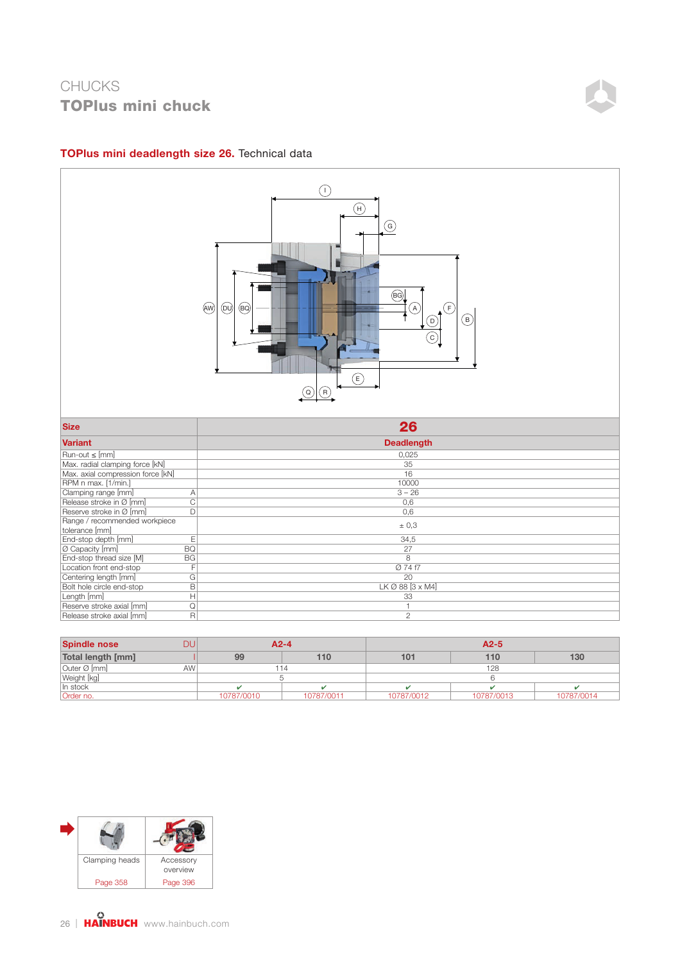

#### TOPlus mini deadlength size 26. Technical data

| <b>Spindle nose</b> | DU              |            | $A2-4$     | $A2-5$          |            |            |  |  |
|---------------------|-----------------|------------|------------|-----------------|------------|------------|--|--|
| Total length [mm]   |                 | 99         | 110        | 10 <sub>1</sub> | 110        | 130        |  |  |
| Outer Ø [mm]        | AW <sup>'</sup> |            |            |                 | 128        |            |  |  |
| Weight [kg]         |                 |            |            |                 |            |            |  |  |
| In stock            |                 |            |            |                 |            |            |  |  |
| Order no.           |                 | 10787/0010 | 10787/0011 | 10787/0012      | 10787/0013 | 10787/0014 |  |  |

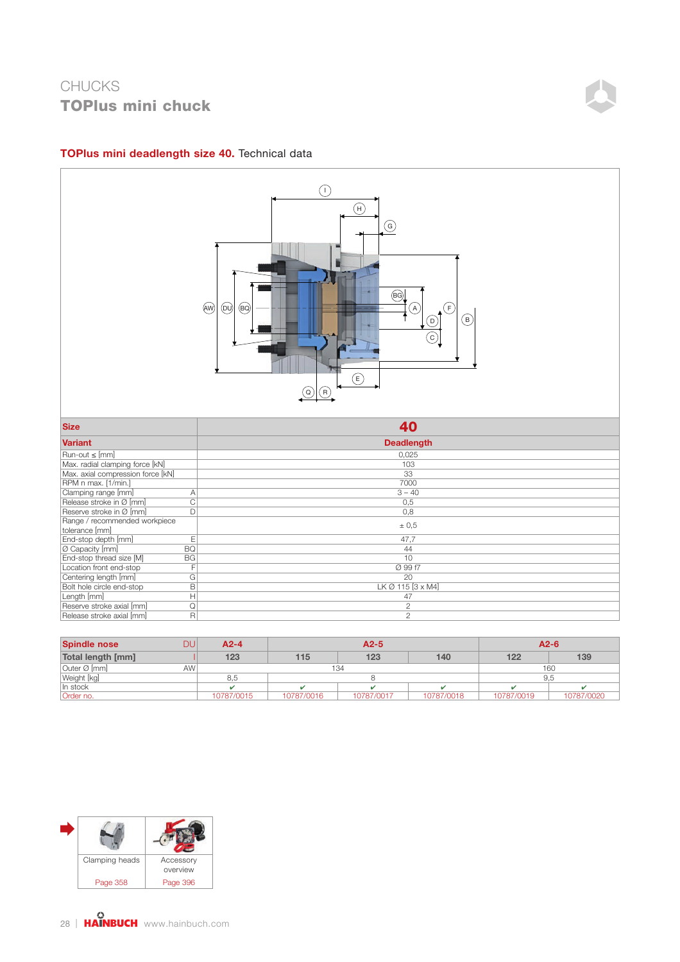

#### TOPlus mini deadlength size 40. Technical data

| <b>Spindle nose</b> | DU              | $A2-4$     |            | $A2-5$     | $A2-6$     |            |            |
|---------------------|-----------------|------------|------------|------------|------------|------------|------------|
| Total length [mm]   |                 | 123        | 115        | 123        | 140        | 122        | 139        |
| Outer Ø [mm]        | AW <sup>'</sup> |            | 134        | 160        |            |            |            |
| Weight [kg]         |                 | 8.5        |            |            | 9.5        |            |            |
| In stock            |                 |            |            |            |            |            |            |
| Order no.           |                 | 10787/0015 | 10787/0016 | 10787/0017 | 10787/0018 | 10787/0019 | 10787/0020 |

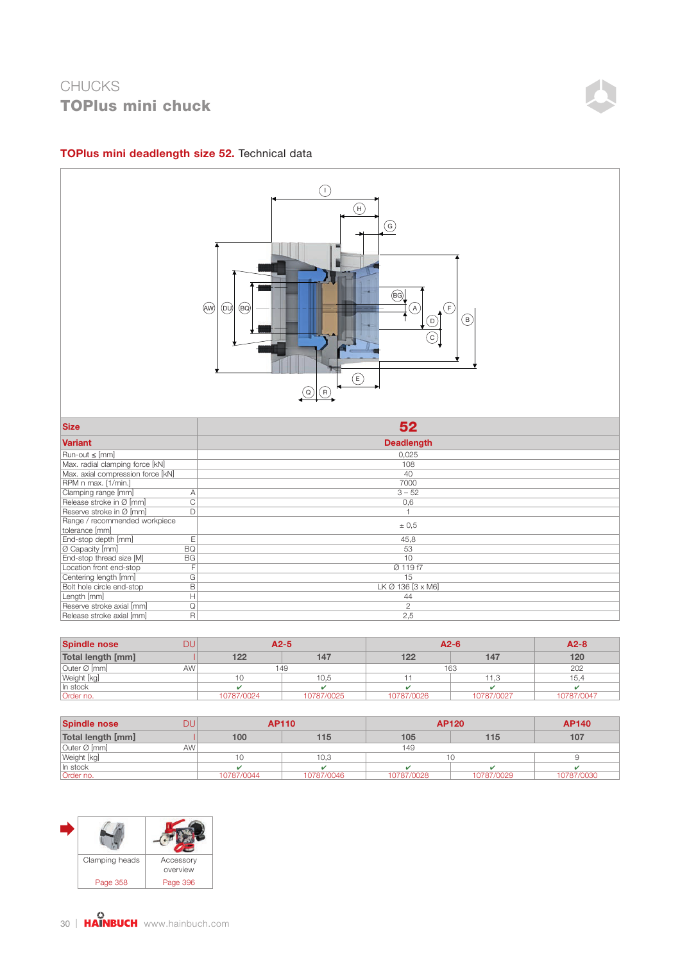### TOPlus mini deadlength size 52. Technical data



| <b>Spindle nose</b> | DU         | $A2-5$     |            | $A2-6$     |            |  |
|---------------------|------------|------------|------------|------------|------------|--|
| Total length [mm]   | 122        | 147        | 122        | 147        | 120        |  |
| Outer Ø [mm]        | AW         | 149        |            | 163        |            |  |
| Weight [kg]         |            | 10,5       |            | 11,3       | 15,4       |  |
| In stock            |            |            |            |            |            |  |
| Order no.           | 10787/0024 | 10787/0025 | 10787/0026 | 10787/0027 | 10787/0047 |  |

| <b>Spindle nose</b> | DU              |            | <b>AP110</b> |            | <b>AP120</b> | <b>AP140</b> |
|---------------------|-----------------|------------|--------------|------------|--------------|--------------|
| Total length [mm]   |                 | 100        | 115          | 105        | 115          | 107          |
| Outer Ø [mm]        | AW <sup>I</sup> |            |              | 149        |              |              |
| Weight [kg]         |                 |            | 10,3         |            | 10           |              |
| In stock            |                 |            |              |            |              |              |
| Order no.           |                 | 10787/0044 | 10787/0046   | 10787/0028 | 10787/0029   | 10787/0030   |

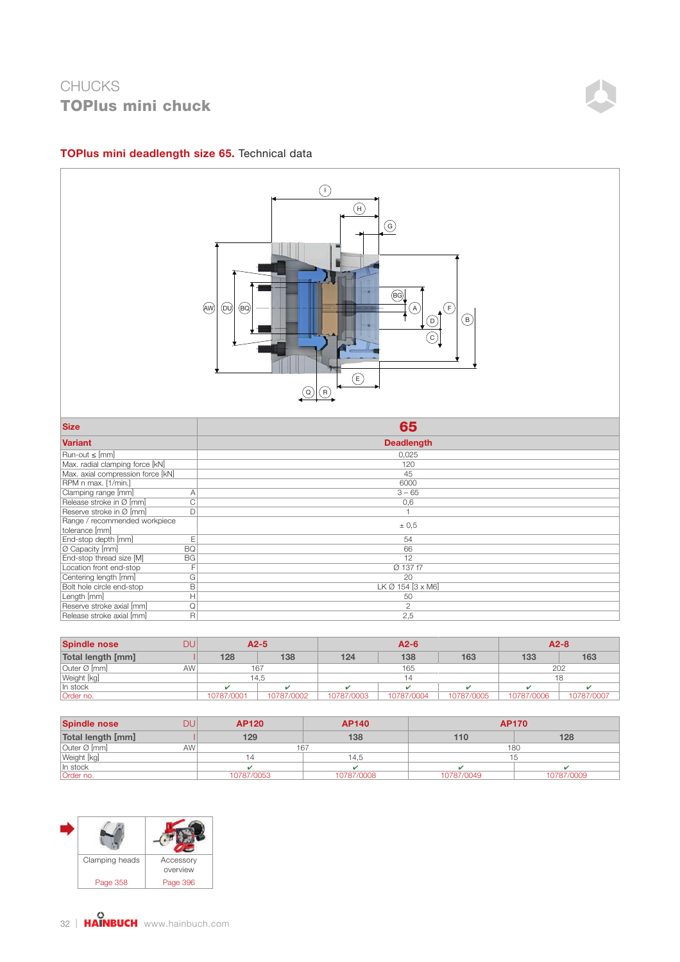

### TOPlus mini deadlength size 65. Technical data

| Reserve stroke in Ø [mm]              |                               |
|---------------------------------------|-------------------------------|
| Range / recommended workpiece         |                               |
| tolerance [mm]                        | ± 0.5                         |
| End-stop depth [mm]                   | 54                            |
| <b>BQ</b><br>O Capacity [mm]          | 66                            |
| End-stop thread size [M]<br><b>BG</b> | 12                            |
| Location front end-stop               | Ø 137 f7                      |
| Centering length [mm]<br>G.           | 20                            |
| Bolt hole circle end-stop             | LK $\varnothing$ 154 [3 x M6] |
| Length [mm]                           | 50                            |
| Reserve stroke axial [mm]             |                               |
| Release stroke axial [mm]             | 2,5                           |
|                                       |                               |

| <b>Spindle nose</b> | DU              | $A2-5$     |            | $A2-6$     |            |            | $A2-8$     |  |
|---------------------|-----------------|------------|------------|------------|------------|------------|------------|--|
| Total length [mm]   | 128             | 138        | 124        | 138        | 163        | 133        | 163        |  |
| Outer Ø [mm]        | AW <sup>1</sup> | 167        |            | 165        |            | 202        |            |  |
| Weight [kg]         |                 | 14.5       | 14         |            |            |            |            |  |
| In stock            |                 |            |            |            |            |            |            |  |
| Order no.           | 10787/0001      | 10787/0002 | 10787/0003 | 10787/0004 | 10787/0005 | 10787/0006 | 10787/0007 |  |

| <b>Spindle nose</b> | DU              | <b>AP120</b> | <b>AP140</b> |            | <b>AP170</b> |
|---------------------|-----------------|--------------|--------------|------------|--------------|
| Total length [mm]   |                 | 129          | 138          | 110        | 128          |
| Outer Ø [mm]        | AW <sup>'</sup> |              | 167          |            | 180          |
| Weight [kg]         |                 |              | 14.5         |            |              |
| In stock            |                 |              |              |            |              |
| Order no.           |                 | 10787/0053   | 10787/0008   | 10787/0049 | 10787/0009   |